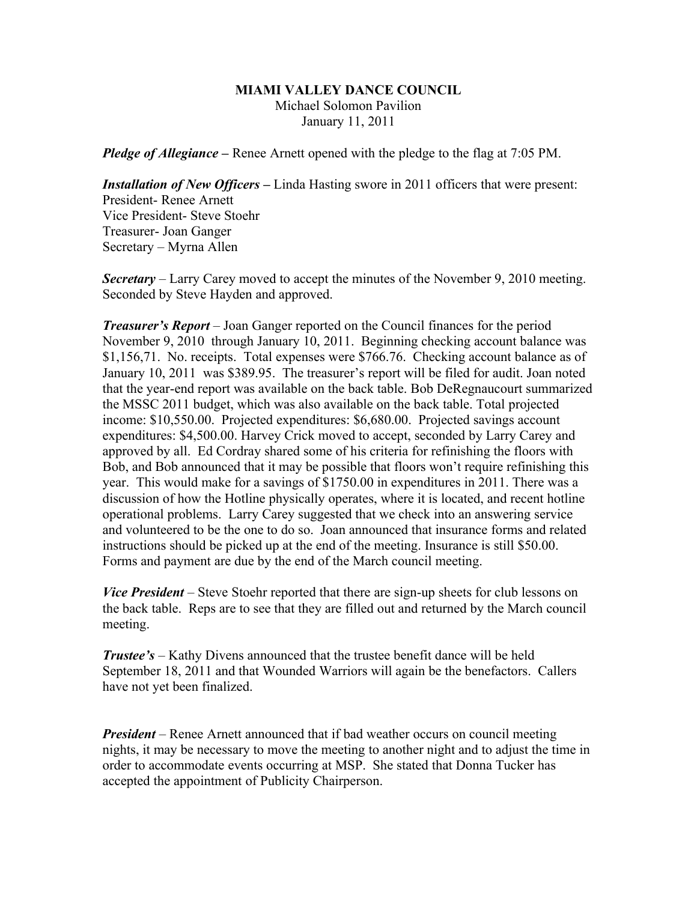## **MIAMI VALLEY DANCE COUNCIL** Michael Solomon Pavilion January 11, 2011

*Pledge of Allegiance –* Renee Arnett opened with the pledge to the flag at 7:05 PM.

*Installation of New Officers* **–** Linda Hasting swore in 2011 officers that were present: President- Renee Arnett Vice President- Steve Stoehr Treasurer- Joan Ganger Secretary – Myrna Allen

*Secretary –* Larry Carey moved to accept the minutes of the November 9, 2010 meeting. Seconded by Steve Hayden and approved.

*Treasurer's Report* – Joan Ganger reported on the Council finances for the period November 9, 2010 through January 10, 2011. Beginning checking account balance was \$1,156,71. No. receipts. Total expenses were \$766.76. Checking account balance as of January 10, 2011 was \$389.95. The treasurer's report will be filed for audit. Joan noted that the year-end report was available on the back table. Bob DeRegnaucourt summarized the MSSC 2011 budget, which was also available on the back table. Total projected income: \$10,550.00. Projected expenditures: \$6,680.00. Projected savings account expenditures: \$4,500.00. Harvey Crick moved to accept, seconded by Larry Carey and approved by all. Ed Cordray shared some of his criteria for refinishing the floors with Bob, and Bob announced that it may be possible that floors won't require refinishing this year. This would make for a savings of \$1750.00 in expenditures in 2011. There was a discussion of how the Hotline physically operates, where it is located, and recent hotline operational problems. Larry Carey suggested that we check into an answering service and volunteered to be the one to do so. Joan announced that insurance forms and related instructions should be picked up at the end of the meeting. Insurance is still \$50.00. Forms and payment are due by the end of the March council meeting.

*Vice President* – Steve Stoehr reported that there are sign-up sheets for club lessons on the back table. Reps are to see that they are filled out and returned by the March council meeting.

*Trustee's* – Kathy Divens announced that the trustee benefit dance will be held September 18, 2011 and that Wounded Warriors will again be the benefactors. Callers have not yet been finalized.

*President* – Renee Arnett announced that if bad weather occurs on council meeting nights, it may be necessary to move the meeting to another night and to adjust the time in order to accommodate events occurring at MSP. She stated that Donna Tucker has accepted the appointment of Publicity Chairperson.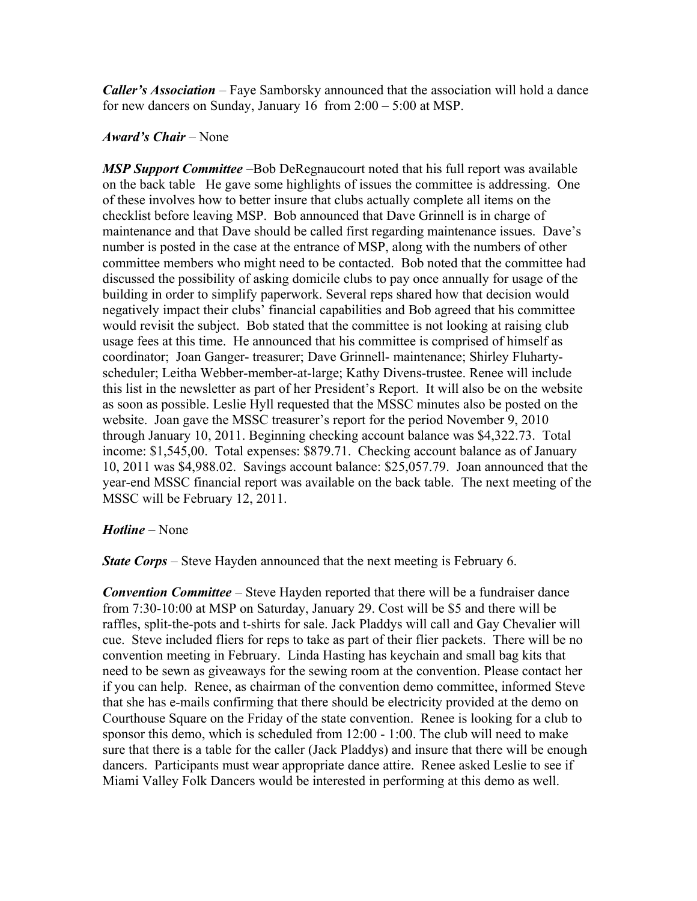*Caller's Association* – Faye Samborsky announced that the association will hold a dance for new dancers on Sunday, January 16 from 2:00 – 5:00 at MSP.

## *Award's Chair* – None

*MSP Support Committee* –Bob DeRegnaucourt noted that his full report was available on the back table He gave some highlights of issues the committee is addressing. One of these involves how to better insure that clubs actually complete all items on the checklist before leaving MSP. Bob announced that Dave Grinnell is in charge of maintenance and that Dave should be called first regarding maintenance issues. Dave's number is posted in the case at the entrance of MSP, along with the numbers of other committee members who might need to be contacted. Bob noted that the committee had discussed the possibility of asking domicile clubs to pay once annually for usage of the building in order to simplify paperwork. Several reps shared how that decision would negatively impact their clubs' financial capabilities and Bob agreed that his committee would revisit the subject. Bob stated that the committee is not looking at raising club usage fees at this time. He announced that his committee is comprised of himself as coordinator; Joan Ganger- treasurer; Dave Grinnell- maintenance; Shirley Fluhartyscheduler; Leitha Webber-member-at-large; Kathy Divens-trustee. Renee will include this list in the newsletter as part of her President's Report. It will also be on the website as soon as possible. Leslie Hyll requested that the MSSC minutes also be posted on the website. Joan gave the MSSC treasurer's report for the period November 9, 2010 through January 10, 2011. Beginning checking account balance was \$4,322.73. Total income: \$1,545,00. Total expenses: \$879.71. Checking account balance as of January 10, 2011 was \$4,988.02. Savings account balance: \$25,057.79. Joan announced that the year-end MSSC financial report was available on the back table. The next meeting of the MSSC will be February 12, 2011.

## *Hotline* – None

*State Corps* – Steve Hayden announced that the next meeting is February 6.

*Convention Committee* – Steve Hayden reported that there will be a fundraiser dance from 7:30-10:00 at MSP on Saturday, January 29. Cost will be \$5 and there will be raffles, split-the-pots and t-shirts for sale. Jack Pladdys will call and Gay Chevalier will cue. Steve included fliers for reps to take as part of their flier packets. There will be no convention meeting in February. Linda Hasting has keychain and small bag kits that need to be sewn as giveaways for the sewing room at the convention. Please contact her if you can help. Renee, as chairman of the convention demo committee, informed Steve that she has e-mails confirming that there should be electricity provided at the demo on Courthouse Square on the Friday of the state convention. Renee is looking for a club to sponsor this demo, which is scheduled from 12:00 - 1:00. The club will need to make sure that there is a table for the caller (Jack Pladdys) and insure that there will be enough dancers. Participants must wear appropriate dance attire. Renee asked Leslie to see if Miami Valley Folk Dancers would be interested in performing at this demo as well.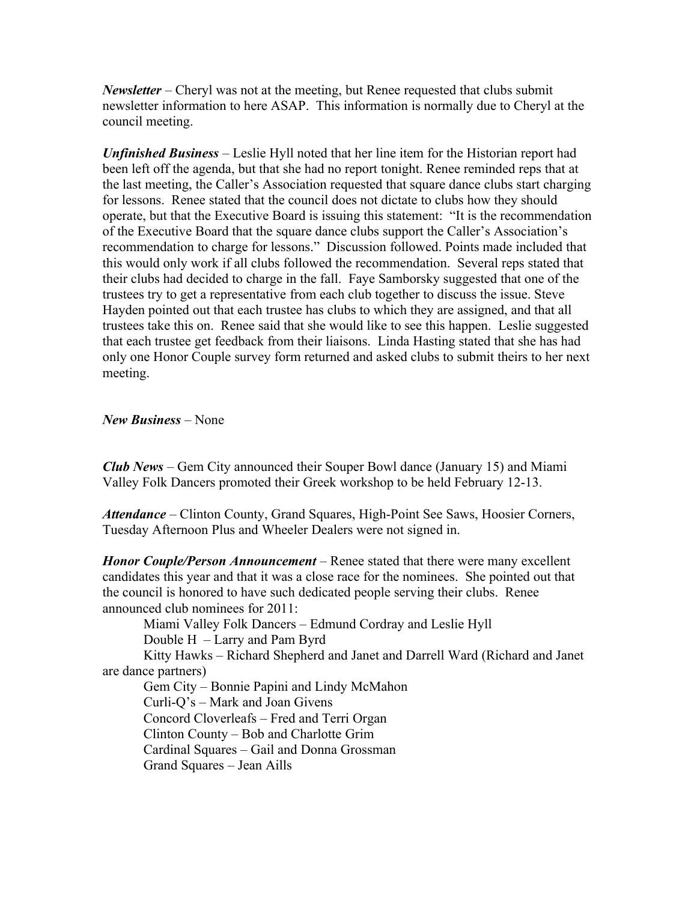*Newsletter* – Cheryl was not at the meeting, but Renee requested that clubs submit newsletter information to here ASAP. This information is normally due to Cheryl at the council meeting.

*Unfinished Business* – Leslie Hyll noted that her line item for the Historian report had been left off the agenda, but that she had no report tonight. Renee reminded reps that at the last meeting, the Caller's Association requested that square dance clubs start charging for lessons. Renee stated that the council does not dictate to clubs how they should operate, but that the Executive Board is issuing this statement: "It is the recommendation of the Executive Board that the square dance clubs support the Caller's Association's recommendation to charge for lessons." Discussion followed. Points made included that this would only work if all clubs followed the recommendation. Several reps stated that their clubs had decided to charge in the fall. Faye Samborsky suggested that one of the trustees try to get a representative from each club together to discuss the issue. Steve Hayden pointed out that each trustee has clubs to which they are assigned, and that all trustees take this on. Renee said that she would like to see this happen. Leslie suggested that each trustee get feedback from their liaisons. Linda Hasting stated that she has had only one Honor Couple survey form returned and asked clubs to submit theirs to her next meeting.

*New Business* – None

*Club News –* Gem City announced their Souper Bowl dance (January 15) and Miami Valley Folk Dancers promoted their Greek workshop to be held February 12-13.

*Attendance* – Clinton County, Grand Squares, High-Point See Saws, Hoosier Corners, Tuesday Afternoon Plus and Wheeler Dealers were not signed in.

*Honor Couple/Person Announcement –* Renee stated that there were many excellent candidates this year and that it was a close race for the nominees. She pointed out that the council is honored to have such dedicated people serving their clubs. Renee announced club nominees for 2011:

Miami Valley Folk Dancers – Edmund Cordray and Leslie Hyll Double H – Larry and Pam Byrd

Kitty Hawks – Richard Shepherd and Janet and Darrell Ward (Richard and Janet are dance partners)

Gem City – Bonnie Papini and Lindy McMahon Curli-Q's – Mark and Joan Givens Concord Cloverleafs – Fred and Terri Organ Clinton County – Bob and Charlotte Grim Cardinal Squares – Gail and Donna Grossman Grand Squares – Jean Aills